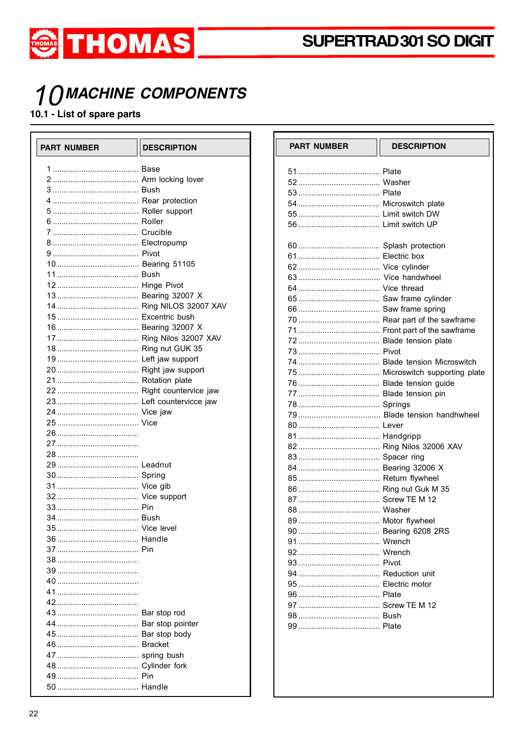

# **1 OMACHINE COMPONENTS**

#### 10.1 - List of spare parts

 $\Box$ 

| <b>PART NUMBER</b> | <b>DESCRIPTION</b> | P       |
|--------------------|--------------------|---------|
|                    |                    | 5       |
|                    |                    | 5.      |
|                    |                    | 5.      |
|                    |                    | 5,      |
|                    |                    | 5       |
|                    |                    | 5       |
|                    |                    |         |
|                    |                    | 61      |
|                    |                    | 6       |
|                    |                    | 6:      |
|                    |                    | 6       |
|                    |                    | 6.      |
|                    |                    | 6       |
|                    |                    | 6       |
|                    |                    | 71      |
|                    |                    | 7.      |
|                    |                    | 7:      |
|                    |                    | 7:      |
|                    |                    | 7.      |
|                    |                    | 71      |
|                    |                    | 71      |
|                    |                    | 7.      |
|                    |                    | 7١      |
|                    |                    | 79      |
|                    |                    | 8       |
|                    |                    | 8       |
|                    |                    | 8:      |
|                    |                    | 8       |
|                    |                    | 8       |
|                    |                    | 8       |
|                    |                    | 8       |
|                    |                    | 8.      |
|                    |                    | 8       |
|                    |                    | 8       |
|                    |                    | 91      |
|                    |                    | 9       |
|                    |                    | 9:      |
|                    |                    | 9.      |
|                    |                    | 9،      |
|                    |                    | 9<br>91 |
|                    |                    | д.      |
|                    |                    | 9       |
|                    |                    | 9!      |
|                    |                    |         |
|                    |                    |         |
|                    |                    |         |
|                    |                    |         |
|                    |                    |         |
|                    |                    |         |
|                    |                    |         |

| <b>PART NUMBER</b> | <b>DESCRIPTION</b> |
|--------------------|--------------------|
|                    |                    |
|                    |                    |
|                    |                    |
|                    |                    |
|                    |                    |
|                    |                    |
|                    |                    |
|                    |                    |
|                    |                    |
|                    |                    |
|                    |                    |
|                    |                    |
|                    |                    |
|                    |                    |
|                    |                    |
|                    |                    |
|                    |                    |
|                    |                    |
|                    |                    |
|                    |                    |
|                    |                    |
|                    |                    |
|                    |                    |
|                    |                    |
|                    |                    |
|                    |                    |
|                    |                    |
|                    |                    |
|                    |                    |
|                    |                    |
|                    |                    |
|                    |                    |
|                    |                    |
|                    |                    |
|                    |                    |
|                    |                    |
|                    |                    |
|                    |                    |
|                    |                    |
|                    |                    |
|                    |                    |
|                    |                    |
|                    |                    |
|                    |                    |
|                    |                    |
|                    |                    |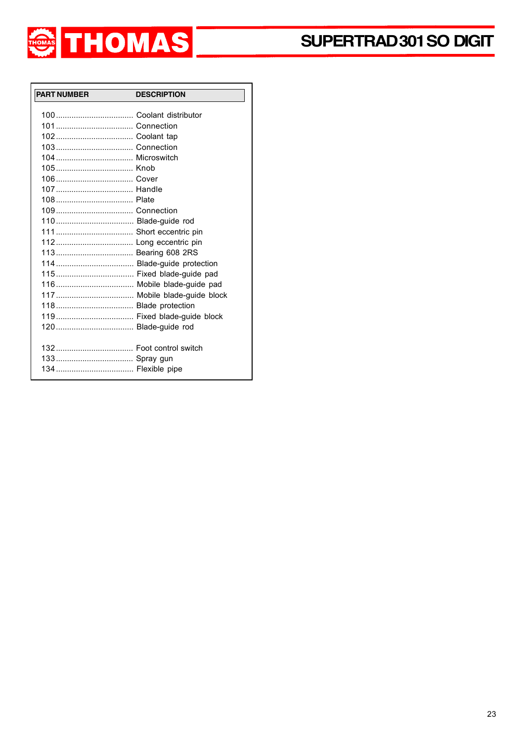

| <b>PART NUMBER</b>  | <b>DESCRIPTION</b> |
|---------------------|--------------------|
|                     |                    |
|                     |                    |
|                     |                    |
|                     |                    |
|                     |                    |
|                     |                    |
|                     |                    |
|                     |                    |
|                     |                    |
|                     |                    |
|                     |                    |
|                     |                    |
|                     |                    |
|                     |                    |
|                     |                    |
|                     |                    |
|                     |                    |
|                     |                    |
|                     |                    |
|                     |                    |
|                     |                    |
| 120 Blade-guide rod |                    |
|                     |                    |
|                     |                    |
|                     |                    |
|                     |                    |
|                     |                    |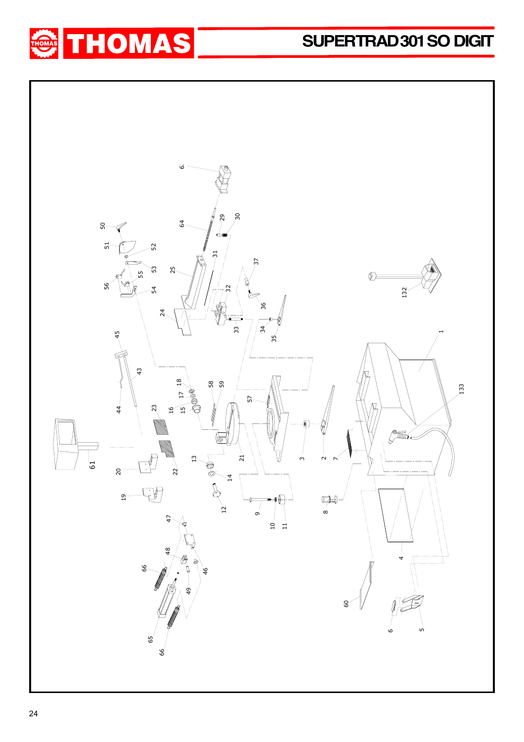## **SUPER TRAD 301 SO DIGIT**



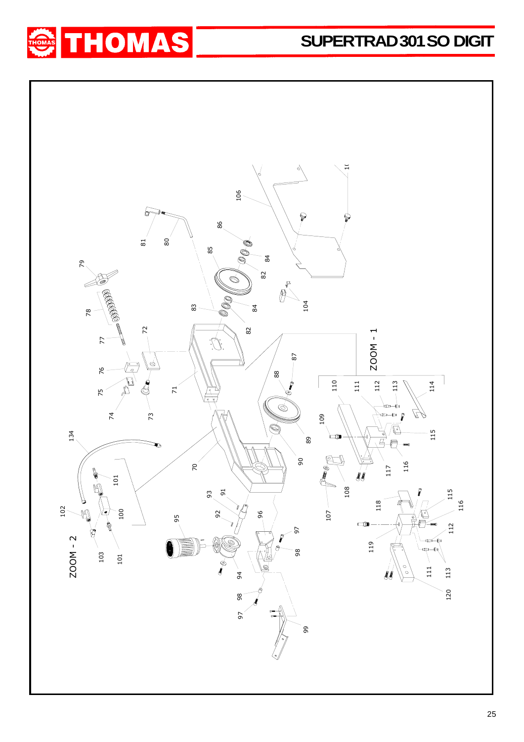### **SUPER TRAD 301 SO DIGIT**